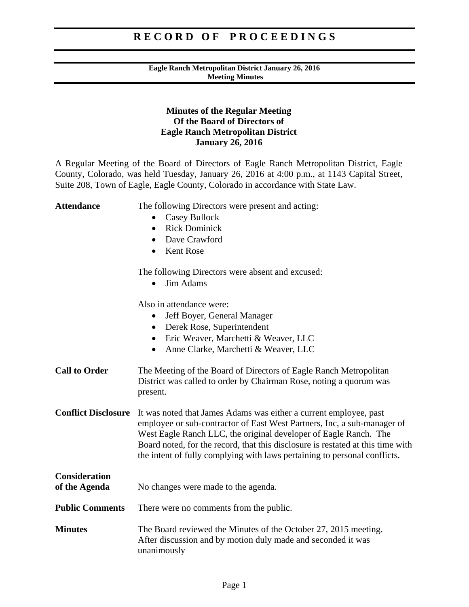### **Eagle Ranch Metropolitan District January 26, 2016 Meeting Minutes**

### **Minutes of the Regular Meeting Of the Board of Directors of Eagle Ranch Metropolitan District January 26, 2016**

A Regular Meeting of the Board of Directors of Eagle Ranch Metropolitan District, Eagle County, Colorado, was held Tuesday, January 26, 2016 at 4:00 p.m., at 1143 Capital Street, Suite 208, Town of Eagle, Eagle County, Colorado in accordance with State Law.

| <b>Attendance</b>                     | The following Directors were present and acting:<br>Casey Bullock<br><b>Rick Dominick</b><br>$\bullet$<br>Dave Crawford<br>$\bullet$<br><b>Kent Rose</b><br>$\bullet$                                                                                                                                                                                                            |
|---------------------------------------|----------------------------------------------------------------------------------------------------------------------------------------------------------------------------------------------------------------------------------------------------------------------------------------------------------------------------------------------------------------------------------|
|                                       | The following Directors were absent and excused:<br><b>Jim Adams</b>                                                                                                                                                                                                                                                                                                             |
|                                       | Also in attendance were:<br>Jeff Boyer, General Manager<br>Derek Rose, Superintendent<br>$\bullet$<br>Eric Weaver, Marchetti & Weaver, LLC<br>$\bullet$<br>Anne Clarke, Marchetti & Weaver, LLC<br>$\bullet$                                                                                                                                                                     |
| <b>Call to Order</b>                  | The Meeting of the Board of Directors of Eagle Ranch Metropolitan<br>District was called to order by Chairman Rose, noting a quorum was<br>present.                                                                                                                                                                                                                              |
| <b>Conflict Disclosure</b>            | It was noted that James Adams was either a current employee, past<br>employee or sub-contractor of East West Partners, Inc, a sub-manager of<br>West Eagle Ranch LLC, the original developer of Eagle Ranch. The<br>Board noted, for the record, that this disclosure is restated at this time with<br>the intent of fully complying with laws pertaining to personal conflicts. |
| <b>Consideration</b><br>of the Agenda | No changes were made to the agenda.                                                                                                                                                                                                                                                                                                                                              |
| <b>Public Comments</b>                | There were no comments from the public.                                                                                                                                                                                                                                                                                                                                          |
| <b>Minutes</b>                        | The Board reviewed the Minutes of the October 27, 2015 meeting.<br>After discussion and by motion duly made and seconded it was<br>unanimously                                                                                                                                                                                                                                   |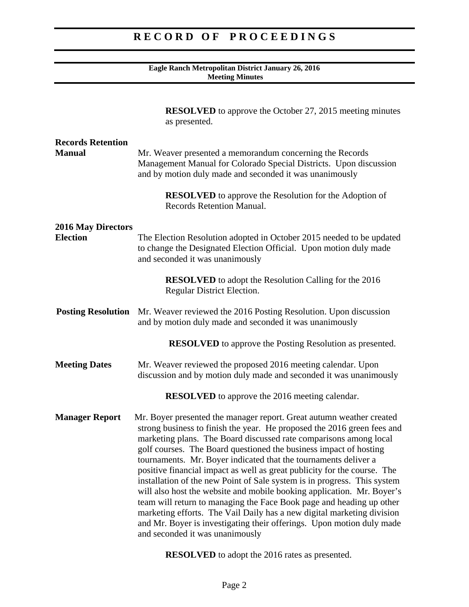#### **Eagle Ranch Metropolitan District January 26, 2016 Meeting Minutes**

|                                              | <b>RESOLVED</b> to approve the October 27, 2015 meeting minutes<br>as presented.                                                                                                                                                                                                                                                                                                                                                                                                                                                                                                                                                                                                                                                                                                                                                                             |
|----------------------------------------------|--------------------------------------------------------------------------------------------------------------------------------------------------------------------------------------------------------------------------------------------------------------------------------------------------------------------------------------------------------------------------------------------------------------------------------------------------------------------------------------------------------------------------------------------------------------------------------------------------------------------------------------------------------------------------------------------------------------------------------------------------------------------------------------------------------------------------------------------------------------|
| <b>Records Retention</b><br><b>Manual</b>    | Mr. Weaver presented a memorandum concerning the Records<br>Management Manual for Colorado Special Districts. Upon discussion<br>and by motion duly made and seconded it was unanimously                                                                                                                                                                                                                                                                                                                                                                                                                                                                                                                                                                                                                                                                     |
|                                              | <b>RESOLVED</b> to approve the Resolution for the Adoption of<br><b>Records Retention Manual.</b>                                                                                                                                                                                                                                                                                                                                                                                                                                                                                                                                                                                                                                                                                                                                                            |
| <b>2016 May Directors</b><br><b>Election</b> | The Election Resolution adopted in October 2015 needed to be updated<br>to change the Designated Election Official. Upon motion duly made<br>and seconded it was unanimously                                                                                                                                                                                                                                                                                                                                                                                                                                                                                                                                                                                                                                                                                 |
|                                              | <b>RESOLVED</b> to adopt the Resolution Calling for the 2016<br>Regular District Election.                                                                                                                                                                                                                                                                                                                                                                                                                                                                                                                                                                                                                                                                                                                                                                   |
| <b>Posting Resolution</b>                    | Mr. Weaver reviewed the 2016 Posting Resolution. Upon discussion<br>and by motion duly made and seconded it was unanimously                                                                                                                                                                                                                                                                                                                                                                                                                                                                                                                                                                                                                                                                                                                                  |
|                                              | <b>RESOLVED</b> to approve the Posting Resolution as presented.                                                                                                                                                                                                                                                                                                                                                                                                                                                                                                                                                                                                                                                                                                                                                                                              |
| <b>Meeting Dates</b>                         | Mr. Weaver reviewed the proposed 2016 meeting calendar. Upon<br>discussion and by motion duly made and seconded it was unanimously                                                                                                                                                                                                                                                                                                                                                                                                                                                                                                                                                                                                                                                                                                                           |
|                                              | <b>RESOLVED</b> to approve the 2016 meeting calendar.                                                                                                                                                                                                                                                                                                                                                                                                                                                                                                                                                                                                                                                                                                                                                                                                        |
| <b>Manager Report</b>                        | Mr. Boyer presented the manager report. Great autumn weather created<br>strong business to finish the year. He proposed the 2016 green fees and<br>marketing plans. The Board discussed rate comparisons among local<br>golf courses. The Board questioned the business impact of hosting<br>tournaments. Mr. Boyer indicated that the tournaments deliver a<br>positive financial impact as well as great publicity for the course. The<br>installation of the new Point of Sale system is in progress. This system<br>will also host the website and mobile booking application. Mr. Boyer's<br>team will return to managing the Face Book page and heading up other<br>marketing efforts. The Vail Daily has a new digital marketing division<br>and Mr. Boyer is investigating their offerings. Upon motion duly made<br>and seconded it was unanimously |

**RESOLVED** to adopt the 2016 rates as presented.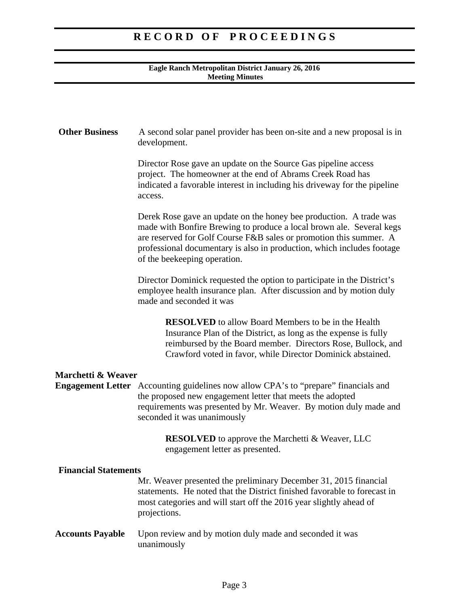### **Eagle Ranch Metropolitan District January 26, 2016 Meeting Minutes**

| <b>Other Business</b>       | A second solar panel provider has been on-site and a new proposal is in<br>development.                                                                                                                                                                                                                                    |
|-----------------------------|----------------------------------------------------------------------------------------------------------------------------------------------------------------------------------------------------------------------------------------------------------------------------------------------------------------------------|
|                             |                                                                                                                                                                                                                                                                                                                            |
|                             | Director Rose gave an update on the Source Gas pipeline access<br>project. The homeowner at the end of Abrams Creek Road has<br>indicated a favorable interest in including his driveway for the pipeline<br>access.                                                                                                       |
|                             | Derek Rose gave an update on the honey bee production. A trade was<br>made with Bonfire Brewing to produce a local brown ale. Several kegs<br>are reserved for Golf Course F&B sales or promotion this summer. A<br>professional documentary is also in production, which includes footage<br>of the beekeeping operation. |
|                             | Director Dominick requested the option to participate in the District's<br>employee health insurance plan. After discussion and by motion duly<br>made and seconded it was                                                                                                                                                 |
|                             | <b>RESOLVED</b> to allow Board Members to be in the Health<br>Insurance Plan of the District, as long as the expense is fully<br>reimbursed by the Board member. Directors Rose, Bullock, and<br>Crawford voted in favor, while Director Dominick abstained.                                                               |
| Marchetti & Weaver          |                                                                                                                                                                                                                                                                                                                            |
|                             | <b>Engagement Letter</b> Accounting guidelines now allow CPA's to "prepare" financials and<br>the proposed new engagement letter that meets the adopted<br>requirements was presented by Mr. Weaver. By motion duly made and<br>seconded it was unanimously                                                                |
|                             | <b>RESOLVED</b> to approve the Marchetti & Weaver, LLC<br>engagement letter as presented.                                                                                                                                                                                                                                  |
| <b>Financial Statements</b> |                                                                                                                                                                                                                                                                                                                            |
|                             | Mr. Weaver presented the preliminary December 31, 2015 financial<br>statements. He noted that the District finished favorable to forecast in<br>most categories and will start off the 2016 year slightly ahead of<br>projections.                                                                                         |
| <b>Accounts Payable</b>     | Upon review and by motion duly made and seconded it was<br>unanimously                                                                                                                                                                                                                                                     |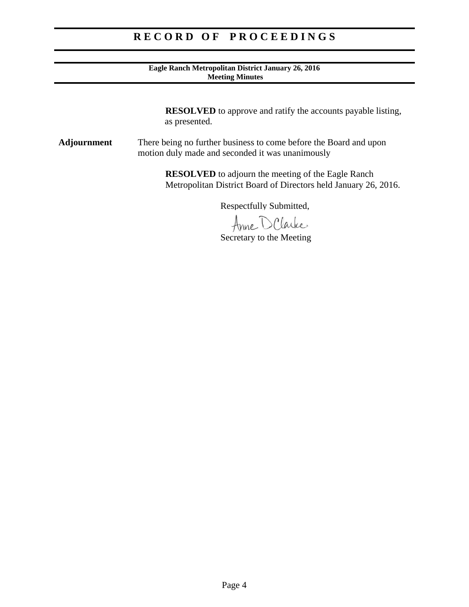#### **Eagle Ranch Metropolitan District January 26, 2016 Meeting Minutes**

 **RESOLVED** to approve and ratify the accounts payable listing, as presented.

**Adjournment** There being no further business to come before the Board and upon motion duly made and seconded it was unanimously

> **RESOLVED** to adjourn the meeting of the Eagle Ranch Metropolitan District Board of Directors held January 26, 2016.

> > Respectfully Submitted,

Anne D Clarke

Secretary to the Meeting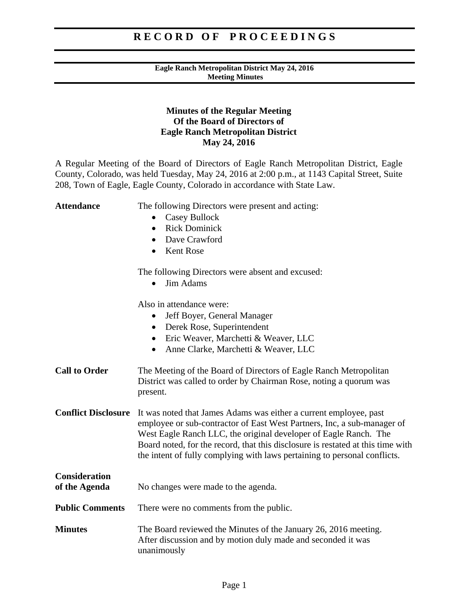### **Eagle Ranch Metropolitan District May 24, 2016 Meeting Minutes**

### **Minutes of the Regular Meeting Of the Board of Directors of Eagle Ranch Metropolitan District May 24, 2016**

A Regular Meeting of the Board of Directors of Eagle Ranch Metropolitan District, Eagle County, Colorado, was held Tuesday, May 24, 2016 at 2:00 p.m., at 1143 Capital Street, Suite 208, Town of Eagle, Eagle County, Colorado in accordance with State Law.

| <b>Attendance</b>                     | The following Directors were present and acting:<br>Casey Bullock<br><b>Rick Dominick</b><br>$\bullet$<br>Dave Crawford<br>$\bullet$<br><b>Kent Rose</b><br>$\bullet$                                                                                                                                                                                                            |
|---------------------------------------|----------------------------------------------------------------------------------------------------------------------------------------------------------------------------------------------------------------------------------------------------------------------------------------------------------------------------------------------------------------------------------|
|                                       | The following Directors were absent and excused:<br><b>Jim Adams</b>                                                                                                                                                                                                                                                                                                             |
|                                       | Also in attendance were:<br>Jeff Boyer, General Manager<br>$\bullet$<br>Derek Rose, Superintendent<br>$\bullet$<br>Eric Weaver, Marchetti & Weaver, LLC<br>$\bullet$<br>Anne Clarke, Marchetti & Weaver, LLC<br>$\bullet$                                                                                                                                                        |
| <b>Call to Order</b>                  | The Meeting of the Board of Directors of Eagle Ranch Metropolitan<br>District was called to order by Chairman Rose, noting a quorum was<br>present.                                                                                                                                                                                                                              |
| <b>Conflict Disclosure</b>            | It was noted that James Adams was either a current employee, past<br>employee or sub-contractor of East West Partners, Inc, a sub-manager of<br>West Eagle Ranch LLC, the original developer of Eagle Ranch. The<br>Board noted, for the record, that this disclosure is restated at this time with<br>the intent of fully complying with laws pertaining to personal conflicts. |
| <b>Consideration</b><br>of the Agenda | No changes were made to the agenda.                                                                                                                                                                                                                                                                                                                                              |
| <b>Public Comments</b>                | There were no comments from the public.                                                                                                                                                                                                                                                                                                                                          |
| <b>Minutes</b>                        | The Board reviewed the Minutes of the January 26, 2016 meeting.<br>After discussion and by motion duly made and seconded it was<br>unanimously                                                                                                                                                                                                                                   |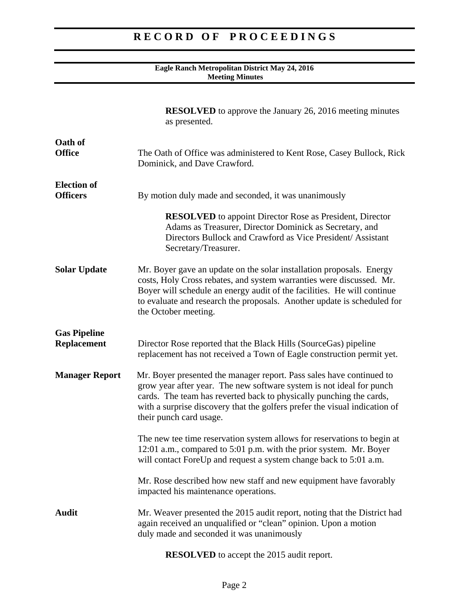### **Eagle Ranch Metropolitan District May 24, 2016 Meeting Minutes**

|                                           | <b>RESOLVED</b> to approve the January 26, 2016 meeting minutes<br>as presented.                                                                                                                                                                                                                                             |
|-------------------------------------------|------------------------------------------------------------------------------------------------------------------------------------------------------------------------------------------------------------------------------------------------------------------------------------------------------------------------------|
| Oath of<br><b>Office</b>                  | The Oath of Office was administered to Kent Rose, Casey Bullock, Rick<br>Dominick, and Dave Crawford.                                                                                                                                                                                                                        |
| <b>Election</b> of<br><b>Officers</b>     | By motion duly made and seconded, it was unanimously                                                                                                                                                                                                                                                                         |
|                                           | <b>RESOLVED</b> to appoint Director Rose as President, Director<br>Adams as Treasurer, Director Dominick as Secretary, and<br>Directors Bullock and Crawford as Vice President/Assistant<br>Secretary/Treasurer.                                                                                                             |
| <b>Solar Update</b>                       | Mr. Boyer gave an update on the solar installation proposals. Energy<br>costs, Holy Cross rebates, and system warranties were discussed. Mr.<br>Boyer will schedule an energy audit of the facilities. He will continue<br>to evaluate and research the proposals. Another update is scheduled for<br>the October meeting.   |
| <b>Gas Pipeline</b><br><b>Replacement</b> | Director Rose reported that the Black Hills (SourceGas) pipeline<br>replacement has not received a Town of Eagle construction permit yet.                                                                                                                                                                                    |
| <b>Manager Report</b>                     | Mr. Boyer presented the manager report. Pass sales have continued to<br>grow year after year. The new software system is not ideal for punch<br>cards. The team has reverted back to physically punching the cards,<br>with a surprise discovery that the golfers prefer the visual indication of<br>their punch card usage. |
|                                           | The new tee time reservation system allows for reservations to begin at<br>12:01 a.m., compared to 5:01 p.m. with the prior system. Mr. Boyer<br>will contact ForeUp and request a system change back to 5:01 a.m.                                                                                                           |
|                                           | Mr. Rose described how new staff and new equipment have favorably<br>impacted his maintenance operations.                                                                                                                                                                                                                    |
| <b>Audit</b>                              | Mr. Weaver presented the 2015 audit report, noting that the District had<br>again received an unqualified or "clean" opinion. Upon a motion<br>duly made and seconded it was unanimously                                                                                                                                     |

**RESOLVED** to accept the 2015 audit report.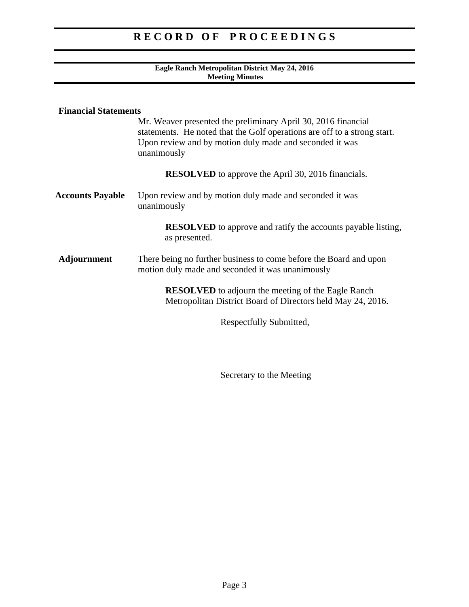### **Eagle Ranch Metropolitan District May 24, 2016 Meeting Minutes**

| <b>Financial Statements</b> | Mr. Weaver presented the preliminary April 30, 2016 financial<br>statements. He noted that the Golf operations are off to a strong start.<br>Upon review and by motion duly made and seconded it was<br>unanimously |
|-----------------------------|---------------------------------------------------------------------------------------------------------------------------------------------------------------------------------------------------------------------|
|                             | <b>RESOLVED</b> to approve the April 30, 2016 financials.                                                                                                                                                           |
| <b>Accounts Payable</b>     | Upon review and by motion duly made and seconded it was<br>unanimously                                                                                                                                              |
|                             | <b>RESOLVED</b> to approve and ratify the accounts payable listing,<br>as presented.                                                                                                                                |
| <b>Adjournment</b>          | There being no further business to come before the Board and upon<br>motion duly made and seconded it was unanimously                                                                                               |
|                             | <b>RESOLVED</b> to adjourn the meeting of the Eagle Ranch<br>Metropolitan District Board of Directors held May 24, 2016.                                                                                            |
|                             | Respectfully Submitted,                                                                                                                                                                                             |

Secretary to the Meeting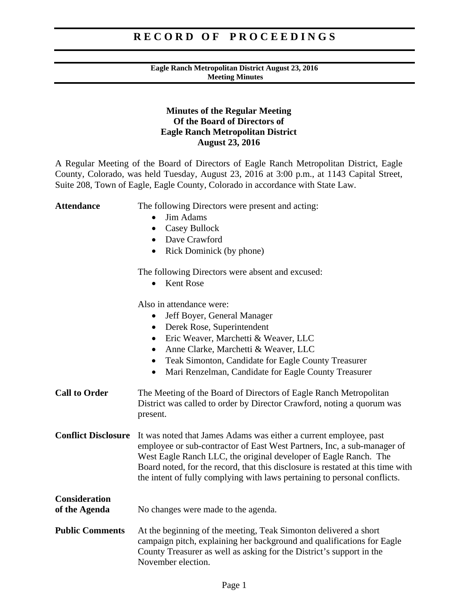### **Eagle Ranch Metropolitan District August 23, 2016 Meeting Minutes**

### **Minutes of the Regular Meeting Of the Board of Directors of Eagle Ranch Metropolitan District August 23, 2016**

A Regular Meeting of the Board of Directors of Eagle Ranch Metropolitan District, Eagle County, Colorado, was held Tuesday, August 23, 2016 at 3:00 p.m., at 1143 Capital Street, Suite 208, Town of Eagle, Eagle County, Colorado in accordance with State Law.

| <b>Attendance</b>                     | The following Directors were present and acting:<br>Jim Adams<br><b>Casey Bullock</b><br>$\bullet$<br>• Dave Crawford<br>Rick Dominick (by phone)<br>$\bullet$                                                                                                                                                                                                                   |
|---------------------------------------|----------------------------------------------------------------------------------------------------------------------------------------------------------------------------------------------------------------------------------------------------------------------------------------------------------------------------------------------------------------------------------|
|                                       | The following Directors were absent and excused:<br><b>Kent Rose</b>                                                                                                                                                                                                                                                                                                             |
|                                       | Also in attendance were:<br>Jeff Boyer, General Manager<br>Derek Rose, Superintendent<br>$\bullet$<br>Eric Weaver, Marchetti & Weaver, LLC<br>$\bullet$<br>Anne Clarke, Marchetti & Weaver, LLC<br>$\bullet$<br>Teak Simonton, Candidate for Eagle County Treasurer<br>$\bullet$<br>Mari Renzelman, Candidate for Eagle County Treasurer<br>$\bullet$                            |
| <b>Call to Order</b>                  | The Meeting of the Board of Directors of Eagle Ranch Metropolitan<br>District was called to order by Director Crawford, noting a quorum was<br>present.                                                                                                                                                                                                                          |
| <b>Conflict Disclosure</b>            | It was noted that James Adams was either a current employee, past<br>employee or sub-contractor of East West Partners, Inc, a sub-manager of<br>West Eagle Ranch LLC, the original developer of Eagle Ranch. The<br>Board noted, for the record, that this disclosure is restated at this time with<br>the intent of fully complying with laws pertaining to personal conflicts. |
| <b>Consideration</b><br>of the Agenda | No changes were made to the agenda.                                                                                                                                                                                                                                                                                                                                              |
| <b>Public Comments</b>                | At the beginning of the meeting, Teak Simonton delivered a short<br>campaign pitch, explaining her background and qualifications for Eagle<br>County Treasurer as well as asking for the District's support in the<br>November election.                                                                                                                                         |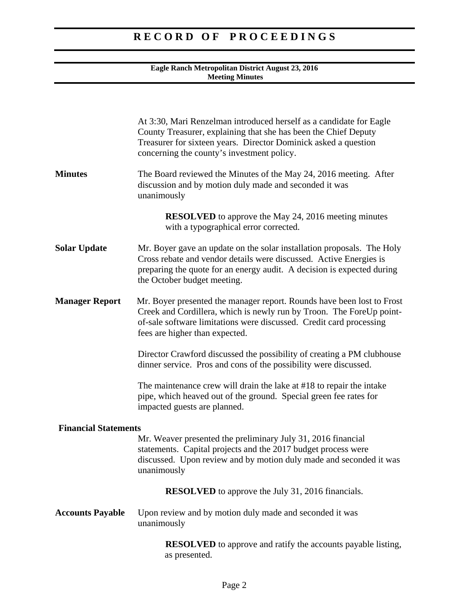### **Eagle Ranch Metropolitan District August 23, 2016 Meeting Minutes**

|                             | At 3:30, Mari Renzelman introduced herself as a candidate for Eagle<br>County Treasurer, explaining that she has been the Chief Deputy<br>Treasurer for sixteen years. Director Dominick asked a question<br>concerning the county's investment policy. |
|-----------------------------|---------------------------------------------------------------------------------------------------------------------------------------------------------------------------------------------------------------------------------------------------------|
| <b>Minutes</b>              | The Board reviewed the Minutes of the May 24, 2016 meeting. After<br>discussion and by motion duly made and seconded it was<br>unanimously                                                                                                              |
|                             | <b>RESOLVED</b> to approve the May 24, 2016 meeting minutes<br>with a typographical error corrected.                                                                                                                                                    |
| <b>Solar Update</b>         | Mr. Boyer gave an update on the solar installation proposals. The Holy<br>Cross rebate and vendor details were discussed. Active Energies is<br>preparing the quote for an energy audit. A decision is expected during<br>the October budget meeting.   |
| <b>Manager Report</b>       | Mr. Boyer presented the manager report. Rounds have been lost to Frost<br>Creek and Cordillera, which is newly run by Troon. The ForeUp point-<br>of-sale software limitations were discussed. Credit card processing<br>fees are higher than expected. |
|                             | Director Crawford discussed the possibility of creating a PM clubhouse<br>dinner service. Pros and cons of the possibility were discussed.                                                                                                              |
|                             | The maintenance crew will drain the lake at #18 to repair the intake<br>pipe, which heaved out of the ground. Special green fee rates for<br>impacted guests are planned.                                                                               |
| <b>Financial Statements</b> | Mr. Weaver presented the preliminary July 31, 2016 financial<br>statements. Capital projects and the 2017 budget process were<br>discussed. Upon review and by motion duly made and seconded it was<br>unanimously                                      |
|                             | <b>RESOLVED</b> to approve the July 31, 2016 financials.                                                                                                                                                                                                |
| <b>Accounts Payable</b>     | Upon review and by motion duly made and seconded it was<br>unanimously                                                                                                                                                                                  |
|                             | <b>RESOLVED</b> to approve and ratify the accounts payable listing,<br>as presented.                                                                                                                                                                    |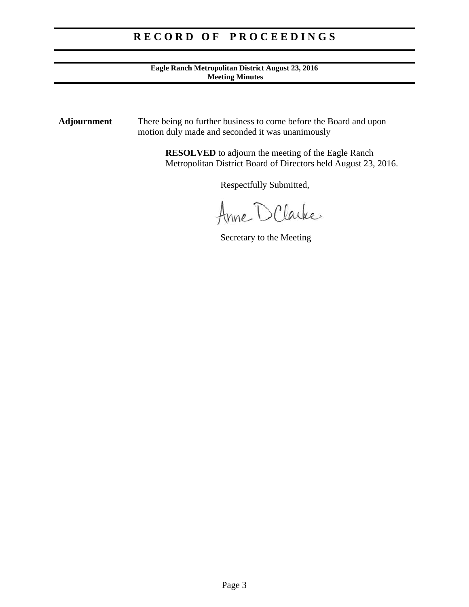### **Eagle Ranch Metropolitan District August 23, 2016 Meeting Minutes**

**Adjournment** There being no further business to come before the Board and upon motion duly made and seconded it was unanimously

> **RESOLVED** to adjourn the meeting of the Eagle Ranch Metropolitan District Board of Directors held August 23, 2016.

> > Respectfully Submitted,

Anne D Clarke

Secretary to the Meeting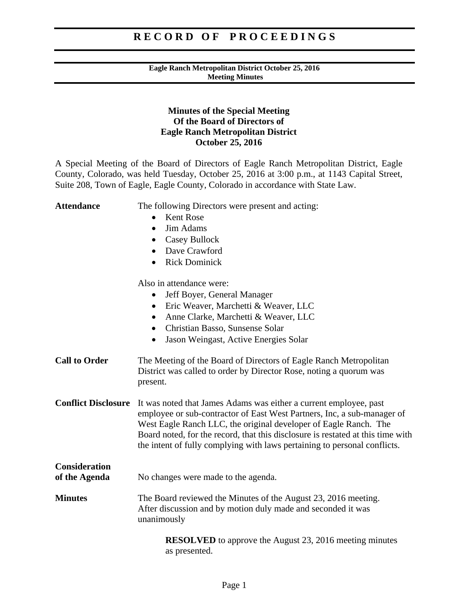### **Eagle Ranch Metropolitan District October 25, 2016 Meeting Minutes**

### **Minutes of the Special Meeting Of the Board of Directors of Eagle Ranch Metropolitan District October 25, 2016**

A Special Meeting of the Board of Directors of Eagle Ranch Metropolitan District, Eagle County, Colorado, was held Tuesday, October 25, 2016 at 3:00 p.m., at 1143 Capital Street, Suite 208, Town of Eagle, Eagle County, Colorado in accordance with State Law.

| <b>Attendance</b>                     | The following Directors were present and acting:<br><b>Kent Rose</b><br>Jim Adams<br>$\bullet$<br><b>Casey Bullock</b><br>$\bullet$<br>Dave Crawford<br><b>Rick Dominick</b><br>$\bullet$                                                                                                                                                                                        |
|---------------------------------------|----------------------------------------------------------------------------------------------------------------------------------------------------------------------------------------------------------------------------------------------------------------------------------------------------------------------------------------------------------------------------------|
|                                       | Also in attendance were:<br>Jeff Boyer, General Manager<br>Eric Weaver, Marchetti & Weaver, LLC<br>$\bullet$<br>Anne Clarke, Marchetti & Weaver, LLC<br>٠<br>Christian Basso, Sunsense Solar<br>$\bullet$<br>Jason Weingast, Active Energies Solar<br>$\bullet$                                                                                                                  |
| <b>Call to Order</b>                  | The Meeting of the Board of Directors of Eagle Ranch Metropolitan<br>District was called to order by Director Rose, noting a quorum was<br>present.                                                                                                                                                                                                                              |
| <b>Conflict Disclosure</b>            | It was noted that James Adams was either a current employee, past<br>employee or sub-contractor of East West Partners, Inc, a sub-manager of<br>West Eagle Ranch LLC, the original developer of Eagle Ranch. The<br>Board noted, for the record, that this disclosure is restated at this time with<br>the intent of fully complying with laws pertaining to personal conflicts. |
| <b>Consideration</b><br>of the Agenda | No changes were made to the agenda.                                                                                                                                                                                                                                                                                                                                              |
| <b>Minutes</b>                        | The Board reviewed the Minutes of the August 23, 2016 meeting.<br>After discussion and by motion duly made and seconded it was<br>unanimously                                                                                                                                                                                                                                    |
|                                       | <b>RESOLVED</b> to approve the August 23, 2016 meeting minutes<br>as presented.                                                                                                                                                                                                                                                                                                  |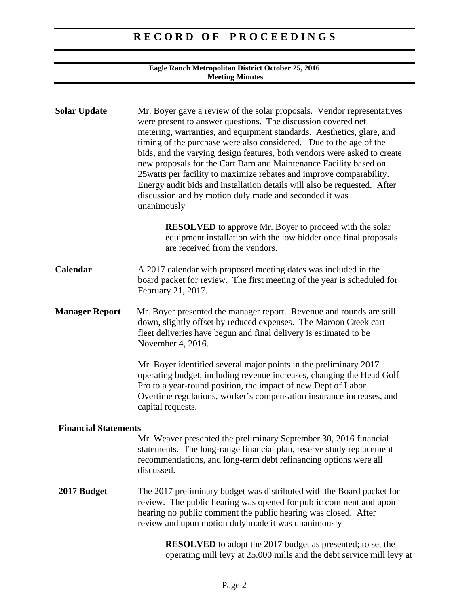#### **Eagle Ranch Metropolitan District October 25, 2016 Meeting Minutes**

| <b>Solar Update</b>         | Mr. Boyer gave a review of the solar proposals. Vendor representatives<br>were present to answer questions. The discussion covered net<br>metering, warranties, and equipment standards. Aesthetics, glare, and<br>timing of the purchase were also considered. Due to the age of the<br>bids, and the varying design features, both vendors were asked to create<br>new proposals for the Cart Barn and Maintenance Facility based on<br>25 watts per facility to maximize rebates and improve comparability.<br>Energy audit bids and installation details will also be requested. After<br>discussion and by motion duly made and seconded it was<br>unanimously |
|-----------------------------|---------------------------------------------------------------------------------------------------------------------------------------------------------------------------------------------------------------------------------------------------------------------------------------------------------------------------------------------------------------------------------------------------------------------------------------------------------------------------------------------------------------------------------------------------------------------------------------------------------------------------------------------------------------------|
|                             | <b>RESOLVED</b> to approve Mr. Boyer to proceed with the solar<br>equipment installation with the low bidder once final proposals<br>are received from the vendors.                                                                                                                                                                                                                                                                                                                                                                                                                                                                                                 |
| Calendar                    | A 2017 calendar with proposed meeting dates was included in the<br>board packet for review. The first meeting of the year is scheduled for<br>February 21, 2017.                                                                                                                                                                                                                                                                                                                                                                                                                                                                                                    |
| <b>Manager Report</b>       | Mr. Boyer presented the manager report. Revenue and rounds are still<br>down, slightly offset by reduced expenses. The Maroon Creek cart<br>fleet deliveries have begun and final delivery is estimated to be<br>November 4, 2016.                                                                                                                                                                                                                                                                                                                                                                                                                                  |
|                             | Mr. Boyer identified several major points in the preliminary 2017<br>operating budget, including revenue increases, changing the Head Golf<br>Pro to a year-round position, the impact of new Dept of Labor<br>Overtime regulations, worker's compensation insurance increases, and<br>capital requests.                                                                                                                                                                                                                                                                                                                                                            |
| <b>Financial Statements</b> |                                                                                                                                                                                                                                                                                                                                                                                                                                                                                                                                                                                                                                                                     |
|                             | Mr. Weaver presented the preliminary September 30, 2016 financial<br>statements. The long-range financial plan, reserve study replacement<br>recommendations, and long-term debt refinancing options were all<br>discussed.                                                                                                                                                                                                                                                                                                                                                                                                                                         |
| 2017 Budget                 | The 2017 preliminary budget was distributed with the Board packet for<br>review. The public hearing was opened for public comment and upon<br>hearing no public comment the public hearing was closed. After<br>review and upon motion duly made it was unanimously                                                                                                                                                                                                                                                                                                                                                                                                 |
|                             | <b>RESOLVED</b> to adopt the 2017 budget as presented; to set the                                                                                                                                                                                                                                                                                                                                                                                                                                                                                                                                                                                                   |

operating mill levy at 25.000 mills and the debt service mill levy at